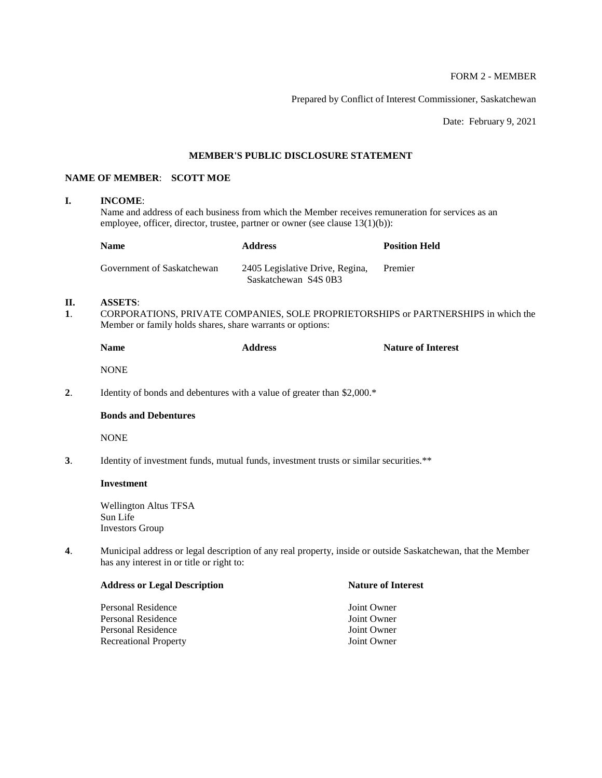## FORM 2 - MEMBER

Prepared by Conflict of Interest Commissioner, Saskatchewan

Date: February 9, 2021

#### **MEMBER'S PUBLIC DISCLOSURE STATEMENT**

## **NAME OF MEMBER**: **SCOTT MOE**

#### **I. INCOME**:

Name and address of each business from which the Member receives remuneration for services as an employee, officer, director, trustee, partner or owner (see clause 13(1)(b)):

| <b>Name</b>                | <b>Address</b>                                          | <b>Position Held</b> |
|----------------------------|---------------------------------------------------------|----------------------|
| Government of Saskatchewan | 2405 Legislative Drive, Regina,<br>Saskatchewan S4S 0B3 | Premier              |

### **II. ASSETS**:

**1**. CORPORATIONS, PRIVATE COMPANIES, SOLE PROPRIETORSHIPS or PARTNERSHIPS in which the Member or family holds shares, share warrants or options:

|    | <b>Name</b>                                                             | <b>Address</b> | <b>Nature of Interest</b> |
|----|-------------------------------------------------------------------------|----------------|---------------------------|
|    | <b>NONE</b>                                                             |                |                           |
| 2. | Identity of bonds and debentures with a value of greater than $2,000.*$ |                |                           |
|    | <b>Bonds and Debentures</b>                                             |                |                           |
|    | <b>NONE</b>                                                             |                |                           |

**3**. Identity of investment funds, mutual funds, investment trusts or similar securities.\*\*

#### **Investment**

Wellington Altus TFSA Sun Life Investors Group

**4**. Municipal address or legal description of any real property, inside or outside Saskatchewan, that the Member has any interest in or title or right to:

| <b>Address or Legal Description</b> | <b>Nature of Interest</b> |
|-------------------------------------|---------------------------|
| Personal Residence                  | Joint Owner               |
| Personal Residence                  | Joint Owner               |
| Personal Residence                  | Joint Owner               |
| <b>Recreational Property</b>        | Joint Owner               |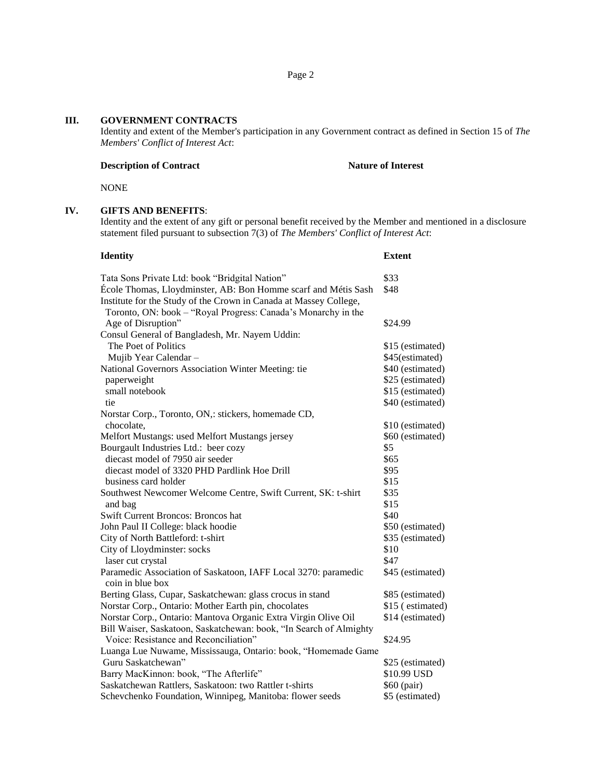## **III. GOVERNMENT CONTRACTS**

Identity and extent of the Member's participation in any Government contract as defined in Section 15 of *The Members' Conflict of Interest Act*:

#### **Description of Contract Nature of Interest**

NONE

### **IV. GIFTS AND BENEFITS**:

Identity and the extent of any gift or personal benefit received by the Member and mentioned in a disclosure statement filed pursuant to subsection 7(3) of *The Members' Conflict of Interest Act*:

| <b>Identity</b>                                                                                                                    | <b>Extent</b>    |
|------------------------------------------------------------------------------------------------------------------------------------|------------------|
| Tata Sons Private Ltd: book "Bridgital Nation"                                                                                     | \$33             |
| École Thomas, Lloydminster, AB: Bon Homme scarf and Métis Sash                                                                     | \$48             |
| Institute for the Study of the Crown in Canada at Massey College,<br>Toronto, ON: book - "Royal Progress: Canada's Monarchy in the |                  |
| Age of Disruption"                                                                                                                 | \$24.99          |
| Consul General of Bangladesh, Mr. Nayem Uddin:                                                                                     |                  |
| The Poet of Politics                                                                                                               | \$15 (estimated) |
| Mujib Year Calendar -                                                                                                              | \$45(estimated)  |
| National Governors Association Winter Meeting: tie                                                                                 | \$40 (estimated) |
| paperweight                                                                                                                        | \$25 (estimated) |
| small notebook                                                                                                                     | \$15 (estimated) |
| tie                                                                                                                                | \$40 (estimated) |
| Norstar Corp., Toronto, ON,: stickers, homemade CD,                                                                                |                  |
| chocolate,                                                                                                                         | \$10 (estimated) |
| Melfort Mustangs: used Melfort Mustangs jersey                                                                                     | \$60 (estimated) |
| Bourgault Industries Ltd.: beer cozy                                                                                               | \$5              |
| diecast model of 7950 air seeder                                                                                                   | \$65             |
| diecast model of 3320 PHD Pardlink Hoe Drill                                                                                       | \$95             |
| business card holder                                                                                                               | \$15             |
| Southwest Newcomer Welcome Centre, Swift Current, SK: t-shirt                                                                      | \$35             |
| and bag                                                                                                                            | \$15             |
| Swift Current Broncos: Broncos hat                                                                                                 | \$40             |
| John Paul II College: black hoodie                                                                                                 | \$50 (estimated) |
| City of North Battleford: t-shirt                                                                                                  | \$35 (estimated) |
| City of Lloydminster: socks                                                                                                        | \$10             |
| laser cut crystal                                                                                                                  | \$47             |
| Paramedic Association of Saskatoon, IAFF Local 3270: paramedic<br>coin in blue box                                                 | \$45 (estimated) |
| Berting Glass, Cupar, Saskatchewan: glass crocus in stand                                                                          | \$85 (estimated) |
| Norstar Corp., Ontario: Mother Earth pin, chocolates                                                                               | \$15 (estimated) |
| Norstar Corp., Ontario: Mantova Organic Extra Virgin Olive Oil                                                                     | \$14 (estimated) |
| Bill Waiser, Saskatoon, Saskatchewan: book, "In Search of Almighty                                                                 |                  |
| Voice: Resistance and Reconciliation"                                                                                              | \$24.95          |
| Luanga Lue Nuwame, Mississauga, Ontario: book, "Homemade Game                                                                      |                  |
| Guru Saskatchewan"                                                                                                                 | \$25 (estimated) |
| Barry MacKinnon: book, "The Afterlife"                                                                                             | \$10.99 USD      |
| Saskatchewan Rattlers, Saskatoon: two Rattler t-shirts                                                                             | \$60 (pair)      |
| Schevchenko Foundation, Winnipeg, Manitoba: flower seeds                                                                           | \$5 (estimated)  |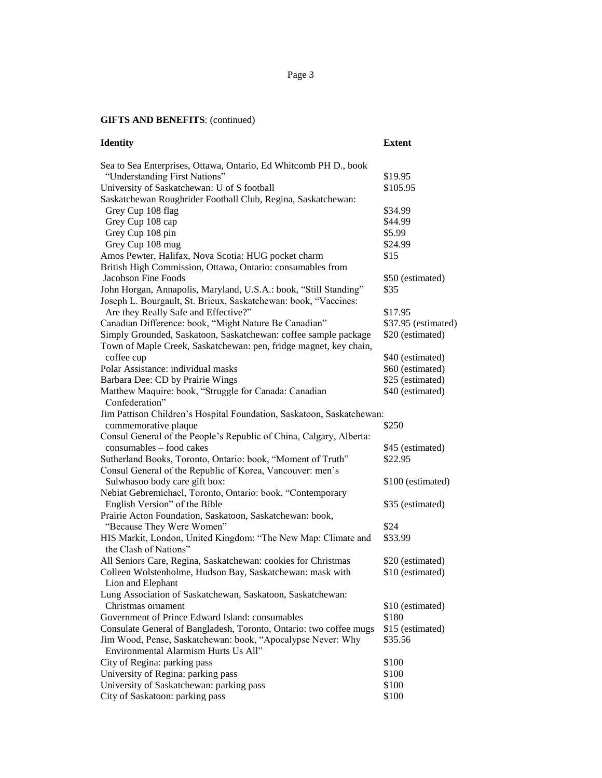Page 3

# **GIFTS AND BENEFITS**: (continued)

| <b>Identity</b>                                                                | <b>Extent</b>       |
|--------------------------------------------------------------------------------|---------------------|
| Sea to Sea Enterprises, Ottawa, Ontario, Ed Whitcomb PH D., book               |                     |
| "Understanding First Nations"                                                  | \$19.95             |
| University of Saskatchewan: U of S football                                    | \$105.95            |
| Saskatchewan Roughrider Football Club, Regina, Saskatchewan:                   |                     |
| Grey Cup 108 flag                                                              | \$34.99             |
| Grey Cup 108 cap                                                               | \$44.99             |
| Grey Cup 108 pin                                                               | \$5.99              |
| Grey Cup 108 mug                                                               | \$24.99             |
| Amos Pewter, Halifax, Nova Scotia: HUG pocket charm                            | \$15                |
| British High Commission, Ottawa, Ontario: consumables from                     |                     |
| Jacobson Fine Foods                                                            | \$50 (estimated)    |
| John Horgan, Annapolis, Maryland, U.S.A.: book, "Still Standing"               | \$35                |
| Joseph L. Bourgault, St. Brieux, Saskatchewan: book, "Vaccines:                |                     |
| Are they Really Safe and Effective?"                                           | \$17.95             |
| Canadian Difference: book, "Might Nature Be Canadian"                          | \$37.95 (estimated) |
| Simply Grounded, Saskatoon, Saskatchewan: coffee sample package                | \$20 (estimated)    |
| Town of Maple Creek, Saskatchewan: pen, fridge magnet, key chain,              |                     |
| coffee cup                                                                     | \$40 (estimated)    |
| Polar Assistance: individual masks                                             | \$60 (estimated)    |
| Barbara Dee: CD by Prairie Wings                                               | \$25 (estimated)    |
| Matthew Maquire: book, "Struggle for Canada: Canadian<br>Confederation"        | \$40 (estimated)    |
| Jim Pattison Children's Hospital Foundation, Saskatoon, Saskatchewan:          |                     |
| commemorative plaque                                                           | \$250               |
| Consul General of the People's Republic of China, Calgary, Alberta:            |                     |
| consumables - food cakes                                                       | \$45 (estimated)    |
| Sutherland Books, Toronto, Ontario: book, "Moment of Truth"                    | \$22.95             |
| Consul General of the Republic of Korea, Vancouver: men's                      |                     |
| Sulwhasoo body care gift box:                                                  | \$100 (estimated)   |
| Nebiat Gebremichael, Toronto, Ontario: book, "Contemporary                     |                     |
| English Version" of the Bible                                                  | \$35 (estimated)    |
| Prairie Acton Foundation, Saskatoon, Saskatchewan: book,                       |                     |
| "Because They Were Women"                                                      | \$24                |
| HIS Markit, London, United Kingdom: "The New Map: Climate and                  | \$33.99             |
| the Clash of Nations"                                                          |                     |
| All Seniors Care, Regina, Saskatchewan: cookies for Christmas                  | \$20 (estimated)    |
| Colleen Wolstenholme, Hudson Bay, Saskatchewan: mask with<br>Lion and Elephant | \$10 (estimated)    |
| Lung Association of Saskatchewan, Saskatoon, Saskatchewan:                     |                     |
| Christmas ornament                                                             | \$10 (estimated)    |
| Government of Prince Edward Island: consumables                                | \$180               |
| Consulate General of Bangladesh, Toronto, Ontario: two coffee mugs             | \$15 (estimated)    |
| Jim Wood, Pense, Saskatchewan: book, "Apocalypse Never: Why                    | \$35.56             |
| Environmental Alarmism Hurts Us All"                                           |                     |
| City of Regina: parking pass                                                   | \$100               |
| University of Regina: parking pass                                             | \$100               |
| University of Saskatchewan: parking pass                                       | \$100               |
| City of Saskatoon: parking pass                                                | \$100               |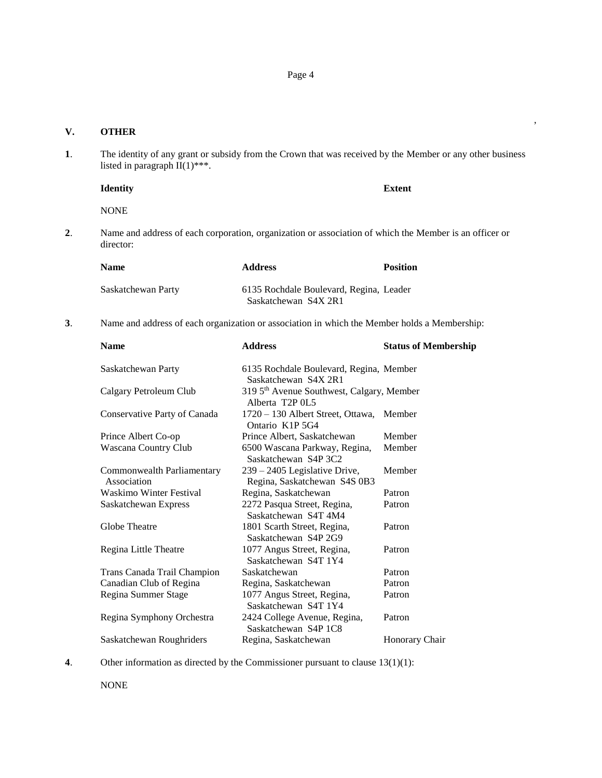## **V. OTHER**

**1**. The identity of any grant or subsidy from the Crown that was received by the Member or any other business listed in paragraph  $II(1)$ \*\*\*.

#### **Identity Extent**

,

NONE

**2**. Name and address of each corporation, organization or association of which the Member is an officer or director:

| <b>Name</b>        | <b>Address</b>                                                  | <b>Position</b> |
|--------------------|-----------------------------------------------------------------|-----------------|
| Saskatchewan Party | 6135 Rochdale Boulevard, Regina, Leader<br>Saskatchewan S4X 2R1 |                 |

**3**. Name and address of each organization or association in which the Member holds a Membership:

| <b>Name</b>                               | <b>Address</b>                                                                        | <b>Status of Membership</b> |
|-------------------------------------------|---------------------------------------------------------------------------------------|-----------------------------|
| Saskatchewan Party                        | 6135 Rochdale Boulevard, Regina, Member<br>Saskatchewan S4X 2R1                       |                             |
| Calgary Petroleum Club                    | 319 5 <sup>th</sup> Avenue Southwest, Calgary, Member<br>Alberta T <sub>2</sub> P 0L5 |                             |
| Conservative Party of Canada              | 1720 – 130 Albert Street, Ottawa, Member<br>Ontario K1P 5G4                           |                             |
| Prince Albert Co-op                       | Prince Albert, Saskatchewan                                                           | Member                      |
| Wascana Country Club                      | 6500 Wascana Parkway, Regina,<br>Saskatchewan S4P 3C2                                 | Member                      |
| Commonwealth Parliamentary<br>Association | 239 – 2405 Legislative Drive,<br>Regina, Saskatchewan S4S 0B3                         | Member                      |
| <b>Waskimo Winter Festival</b>            | Regina, Saskatchewan                                                                  | Patron                      |
| Saskatchewan Express                      | 2272 Pasqua Street, Regina,<br>Saskatchewan S4T 4M4                                   | Patron                      |
| Globe Theatre                             | 1801 Scarth Street, Regina,<br>Saskatchewan S4P 2G9                                   | Patron                      |
| Regina Little Theatre                     | 1077 Angus Street, Regina,<br>Saskatchewan S4T 1Y4                                    | Patron                      |
| Trans Canada Trail Champion               | Saskatchewan                                                                          | Patron                      |
| Canadian Club of Regina                   | Regina, Saskatchewan                                                                  | Patron                      |
| Regina Summer Stage                       | 1077 Angus Street, Regina,<br>Saskatchewan S4T 1Y4                                    | Patron                      |
| Regina Symphony Orchestra                 | 2424 College Avenue, Regina,<br>Saskatchewan S4P 1C8                                  | Patron                      |
| Saskatchewan Roughriders                  | Regina, Saskatchewan                                                                  | Honorary Chair              |

**4**. Other information as directed by the Commissioner pursuant to clause 13(1)(1):

NONE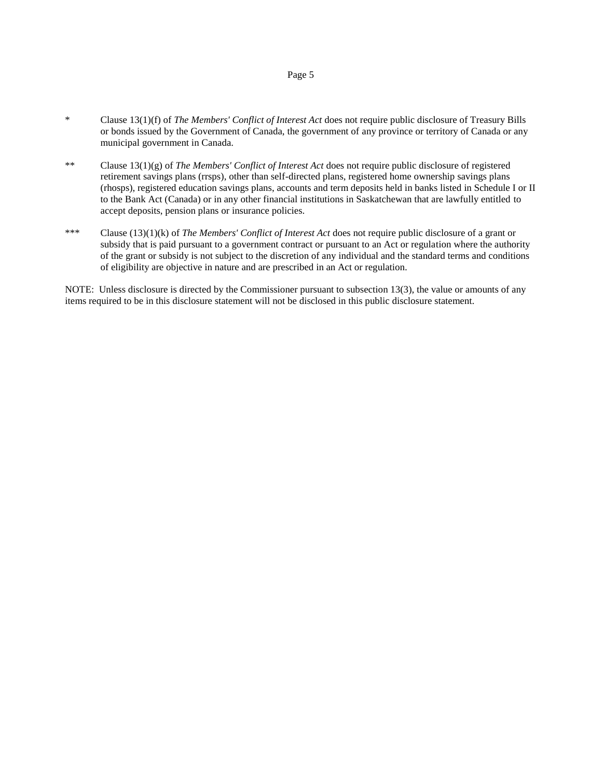- \* Clause 13(1)(f) of *The Members' Conflict of Interest Act* does not require public disclosure of Treasury Bills or bonds issued by the Government of Canada, the government of any province or territory of Canada or any municipal government in Canada.
- \*\* Clause 13(1)(g) of *The Members' Conflict of Interest Act* does not require public disclosure of registered retirement savings plans (rrsps), other than self-directed plans, registered home ownership savings plans (rhosps), registered education savings plans, accounts and term deposits held in banks listed in Schedule I or II to the Bank Act (Canada) or in any other financial institutions in Saskatchewan that are lawfully entitled to accept deposits, pension plans or insurance policies.
- \*\*\* Clause (13)(1)(k) of *The Members' Conflict of Interest Act* does not require public disclosure of a grant or subsidy that is paid pursuant to a government contract or pursuant to an Act or regulation where the authority of the grant or subsidy is not subject to the discretion of any individual and the standard terms and conditions of eligibility are objective in nature and are prescribed in an Act or regulation.

NOTE: Unless disclosure is directed by the Commissioner pursuant to subsection 13(3), the value or amounts of any items required to be in this disclosure statement will not be disclosed in this public disclosure statement.

#### Page 5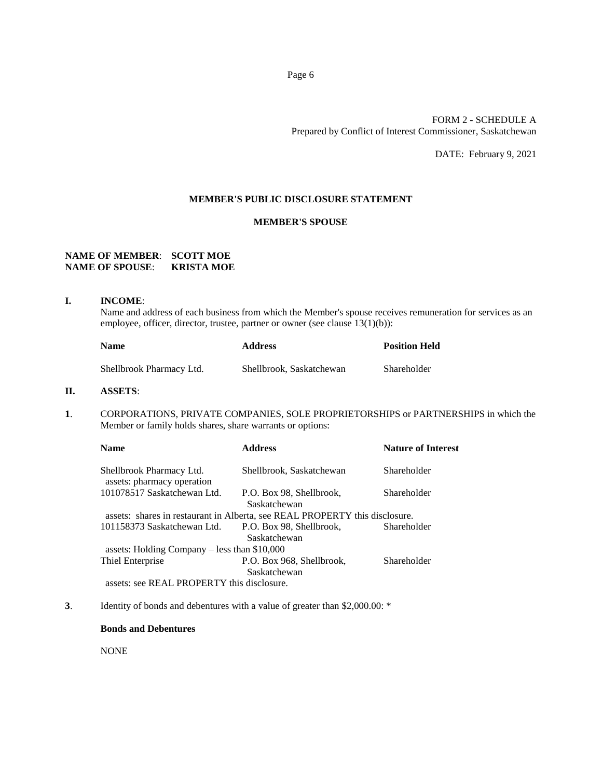#### FORM 2 - SCHEDULE A Prepared by Conflict of Interest Commissioner, Saskatchewan

DATE: February 9, 2021

#### **MEMBER'S PUBLIC DISCLOSURE STATEMENT**

## **MEMBER'S SPOUSE**

#### **NAME OF MEMBER**: **SCOTT MOE NAME OF SPOUSE**: **KRISTA MOE**

#### **I. INCOME**:

Name and address of each business from which the Member's spouse receives remuneration for services as an employee, officer, director, trustee, partner or owner (see clause 13(1)(b)):

| <b>Name</b>              | <b>Address</b>           | <b>Position Held</b> |
|--------------------------|--------------------------|----------------------|
| Shellbrook Pharmacy Ltd. | Shellbrook, Saskatchewan | Shareholder          |

### **II. ASSETS**:

**1**. CORPORATIONS, PRIVATE COMPANIES, SOLE PROPRIETORSHIPS or PARTNERSHIPS in which the Member or family holds shares, share warrants or options:

| <b>Name</b>                                                                                                                                                                                                                                                                                                                                                                           | <b>Address</b>                                                              | <b>Nature of Interest</b> |
|---------------------------------------------------------------------------------------------------------------------------------------------------------------------------------------------------------------------------------------------------------------------------------------------------------------------------------------------------------------------------------------|-----------------------------------------------------------------------------|---------------------------|
| Shellbrook Pharmacy Ltd.<br>assets: pharmacy operation                                                                                                                                                                                                                                                                                                                                | Shellbrook, Saskatchewan                                                    | Shareholder               |
| 101078517 Saskatchewan Ltd.                                                                                                                                                                                                                                                                                                                                                           | P.O. Box 98, Shellbrook,<br>Saskatchewan                                    | Shareholder               |
|                                                                                                                                                                                                                                                                                                                                                                                       | assets: shares in restaurant in Alberta, see REAL PROPERTY this disclosure. |                           |
| 101158373 Saskatchewan Ltd.                                                                                                                                                                                                                                                                                                                                                           | P.O. Box 98, Shellbrook,<br>Saskatchewan                                    | Shareholder               |
| assets: Holding Company - less than \$10,000                                                                                                                                                                                                                                                                                                                                          |                                                                             |                           |
| Thiel Enterprise                                                                                                                                                                                                                                                                                                                                                                      | P.O. Box 968, Shellbrook,                                                   | Shareholder               |
|                                                                                                                                                                                                                                                                                                                                                                                       | Saskatchewan                                                                |                           |
| $\alpha$ and $\alpha$ $\alpha$ $\alpha$ $\alpha$ $\beta$ $\alpha$ $\beta$ $\alpha$ $\beta$ $\alpha$ $\beta$ $\alpha$ $\beta$ $\alpha$ $\beta$ $\alpha$ $\beta$ $\alpha$ $\beta$ $\alpha$ $\beta$ $\alpha$ $\beta$ $\alpha$ $\beta$ $\alpha$ $\beta$ $\alpha$ $\beta$ $\alpha$ $\beta$ $\alpha$ $\beta$ $\alpha$ $\beta$ $\alpha$ $\beta$ $\alpha$ $\beta$ $\beta$ $\beta$ $\beta$ $\$ |                                                                             |                           |

assets: see REAL PROPERTY this disclosure.

**3**. Identity of bonds and debentures with a value of greater than \$2,000.00: \*

## **Bonds and Debentures**

NONE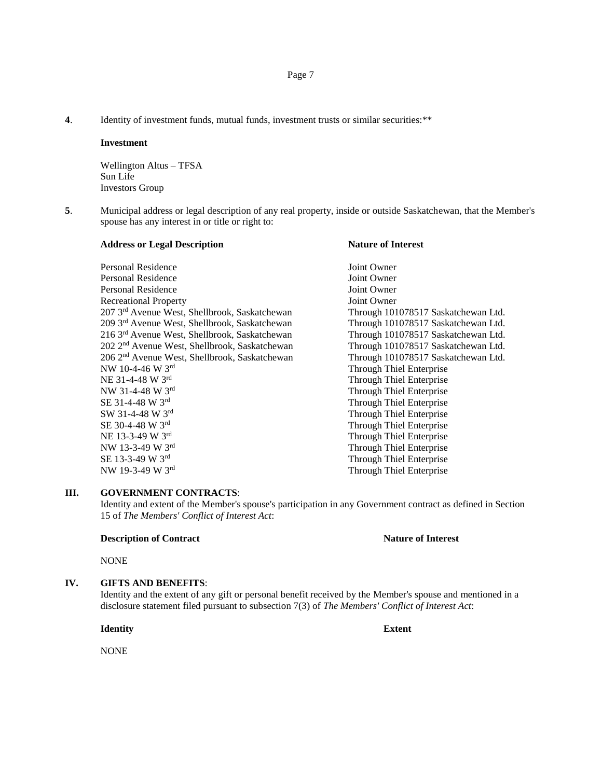**4**. Identity of investment funds, mutual funds, investment trusts or similar securities:\*\*

#### **Investment**

Wellington Altus – TFSA Sun Life Investors Group

**5**. Municipal address or legal description of any real property, inside or outside Saskatchewan, that the Member's spouse has any interest in or title or right to:

| <b>Address or Legal Description</b>                       | <b>Nature of Interest</b>           |
|-----------------------------------------------------------|-------------------------------------|
| Personal Residence                                        | Joint Owner                         |
| <b>Personal Residence</b>                                 | Joint Owner                         |
| <b>Personal Residence</b>                                 | Joint Owner                         |
| <b>Recreational Property</b>                              | Joint Owner                         |
| 207 3 <sup>rd</sup> Avenue West, Shellbrook, Saskatchewan | Through 101078517 Saskatchewan Ltd. |
| 209 3rd Avenue West, Shellbrook, Saskatchewan             | Through 101078517 Saskatchewan Ltd. |
| 216 3rd Avenue West, Shellbrook, Saskatchewan             | Through 101078517 Saskatchewan Ltd. |
| 202 2 <sup>nd</sup> Avenue West, Shellbrook, Saskatchewan | Through 101078517 Saskatchewan Ltd. |
| 206 2 <sup>nd</sup> Avenue West, Shellbrook, Saskatchewan | Through 101078517 Saskatchewan Ltd. |
| NW 10-4-46 W 3rd                                          | <b>Through Thiel Enterprise</b>     |
| NE 31-4-48 W 3rd                                          | Through Thiel Enterprise            |
| NW 31-4-48 W 3rd                                          | Through Thiel Enterprise            |
| SE 31-4-48 W 3rd                                          | <b>Through Thiel Enterprise</b>     |
| SW 31-4-48 W 3rd                                          | <b>Through Thiel Enterprise</b>     |
| SE 30-4-48 W 3rd                                          | Through Thiel Enterprise            |
| NE 13-3-49 W 3rd                                          | Through Thiel Enterprise            |
| NW 13-3-49 W 3rd                                          | <b>Through Thiel Enterprise</b>     |
| SE 13-3-49 W 3rd                                          | Through Thiel Enterprise            |
| NW 19-3-49 W 3rd                                          | Through Thiel Enterprise            |

#### **III. GOVERNMENT CONTRACTS**:

Identity and extent of the Member's spouse's participation in any Government contract as defined in Section 15 of *The Members' Conflict of Interest Act*:

#### **Description of Contract Nature of Interest**

NONE

## **IV. GIFTS AND BENEFITS**:

Identity and the extent of any gift or personal benefit received by the Member's spouse and mentioned in a disclosure statement filed pursuant to subsection 7(3) of *The Members' Conflict of Interest Act*:

**Identity Extent**

NONE